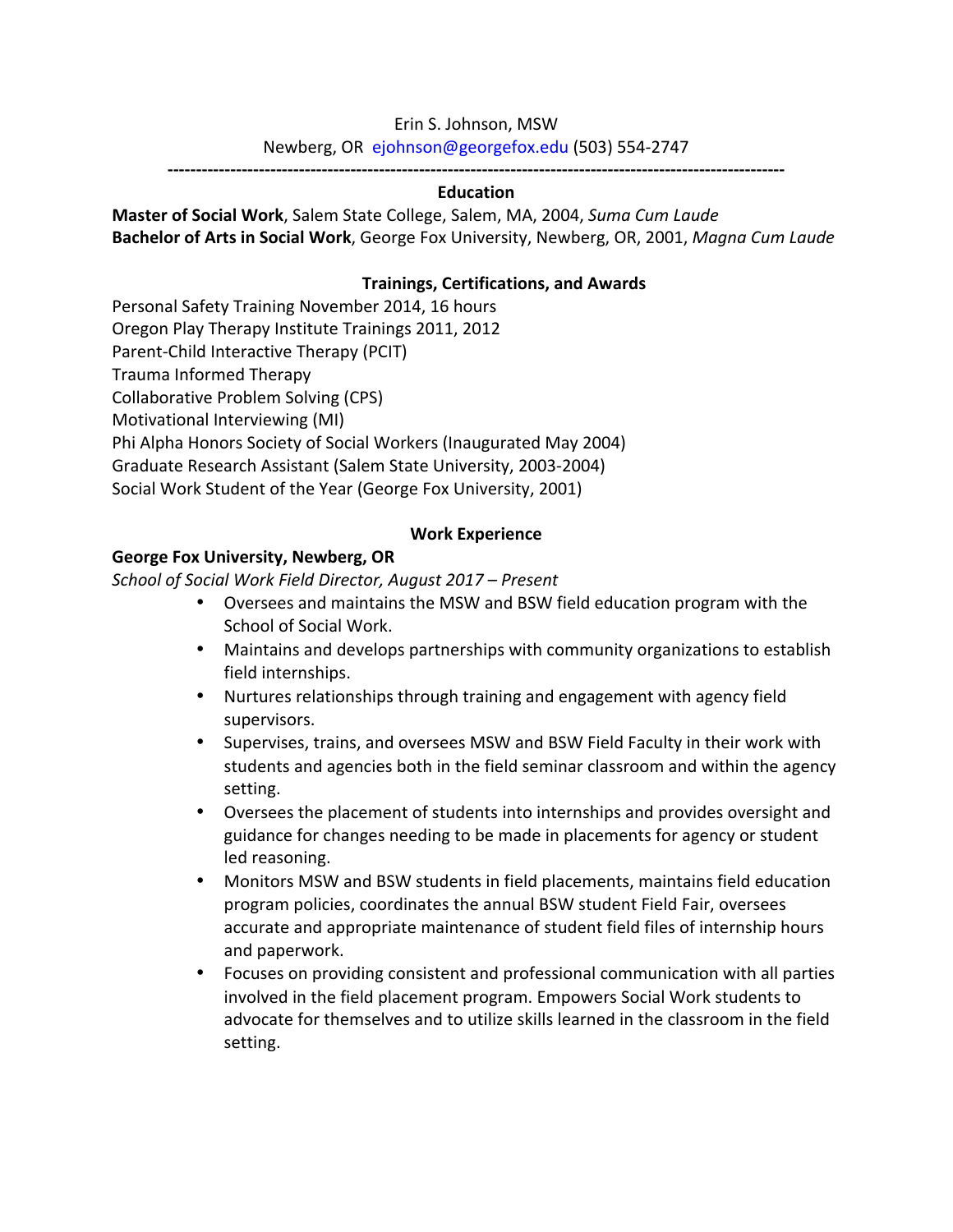### Erin S. Johnson, MSW

Newberg, OR ejohnson@georgefox.edu (503) 554-2747

**------------------------------------------------------------------------------------------------------------**

### **Education**

**Master of Social Work**, Salem State College, Salem, MA, 2004, Suma Cum Laude **Bachelor of Arts in Social Work**, George Fox University, Newberg, OR, 2001, *Magna Cum Laude* 

### **Trainings, Certifications, and Awards**

Personal Safety Training November 2014, 16 hours

Oregon Play Therapy Institute Trainings 2011, 2012

Parent-Child Interactive Therapy (PCIT)

Trauma Informed Therapy

Collaborative Problem Solving (CPS)

Motivational Interviewing (MI)

Phi Alpha Honors Society of Social Workers (Inaugurated May 2004)

Graduate Research Assistant (Salem State University, 2003-2004)

Social Work Student of the Year (George Fox University, 2001)

### **Work Experience**

### **George Fox University, Newberg, OR**

*School of Social Work Field Director, August 2017 – Present*

- Oversees and maintains the MSW and BSW field education program with the School of Social Work.
- Maintains and develops partnerships with community organizations to establish field internships.
- Nurtures relationships through training and engagement with agency field supervisors.
- Supervises, trains, and oversees MSW and BSW Field Faculty in their work with students and agencies both in the field seminar classroom and within the agency setting.
- Oversees the placement of students into internships and provides oversight and guidance for changes needing to be made in placements for agency or student led reasoning.
- Monitors MSW and BSW students in field placements, maintains field education program policies, coordinates the annual BSW student Field Fair, oversees accurate and appropriate maintenance of student field files of internship hours and paperwork.
- Focuses on providing consistent and professional communication with all parties involved in the field placement program. Empowers Social Work students to advocate for themselves and to utilize skills learned in the classroom in the field setting.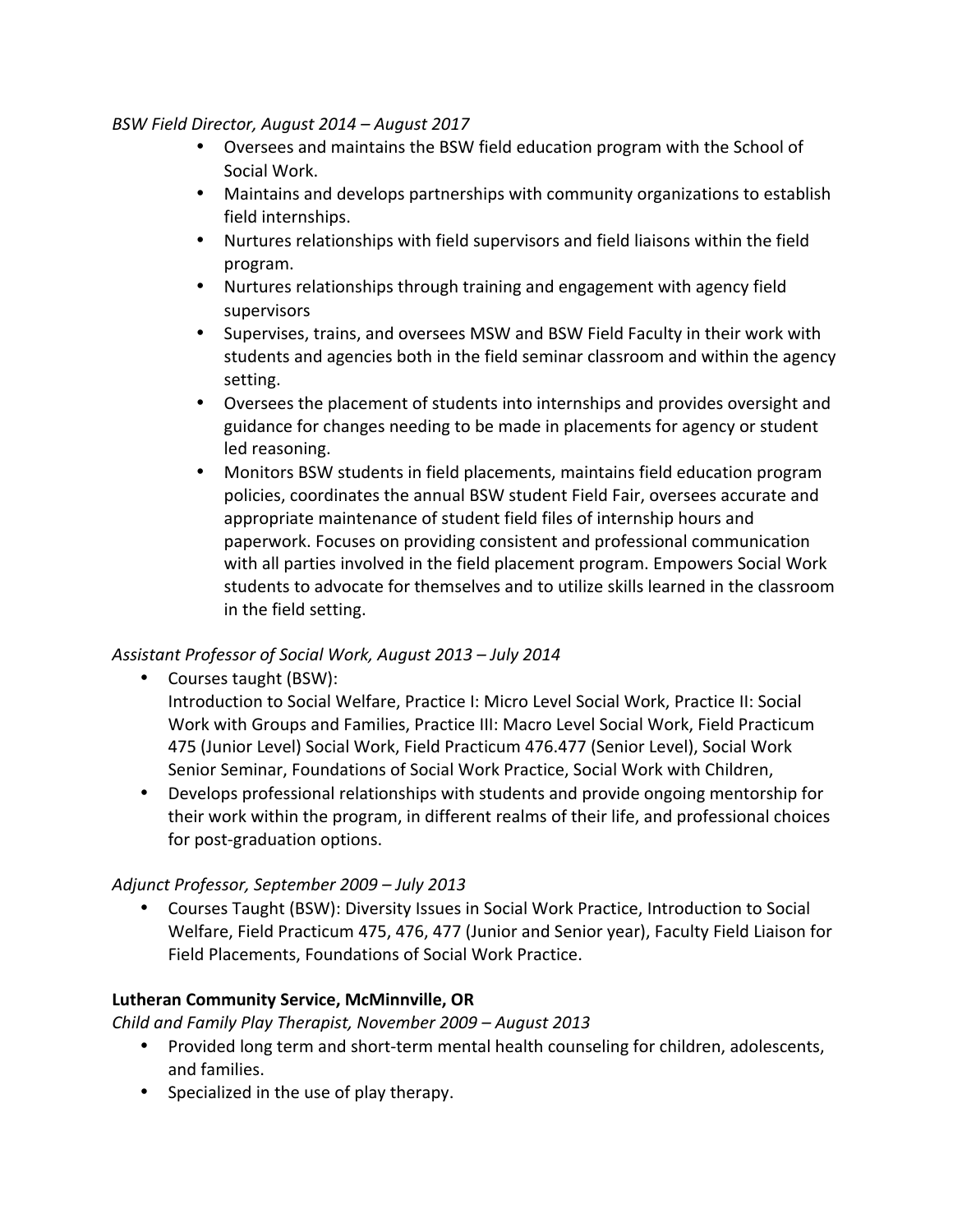### *BSW Field Director, August 2014 – August 2017*

- Oversees and maintains the BSW field education program with the School of Social Work.
- Maintains and develops partnerships with community organizations to establish field internships.
- Nurtures relationships with field supervisors and field liaisons within the field program.
- Nurtures relationships through training and engagement with agency field supervisors
- Supervises, trains, and oversees MSW and BSW Field Faculty in their work with students and agencies both in the field seminar classroom and within the agency setting.
- Oversees the placement of students into internships and provides oversight and guidance for changes needing to be made in placements for agency or student led reasoning.
- Monitors BSW students in field placements, maintains field education program policies, coordinates the annual BSW student Field Fair, oversees accurate and appropriate maintenance of student field files of internship hours and paperwork. Focuses on providing consistent and professional communication with all parties involved in the field placement program. Empowers Social Work students to advocate for themselves and to utilize skills learned in the classroom in the field setting.

# *Assistant Professor of Social Work, August 2013 – July 2014*

• Courses taught (BSW):

Introduction to Social Welfare, Practice I: Micro Level Social Work, Practice II: Social Work with Groups and Families, Practice III: Macro Level Social Work, Field Practicum 475 (Junior Level) Social Work, Field Practicum 476.477 (Senior Level), Social Work Senior Seminar, Foundations of Social Work Practice, Social Work with Children,

• Develops professional relationships with students and provide ongoing mentorship for their work within the program, in different realms of their life, and professional choices for post-graduation options.

# *Adjunct Professor, September 2009 – July 2013*

• Courses Taught (BSW): Diversity Issues in Social Work Practice, Introduction to Social Welfare, Field Practicum 475, 476, 477 (Junior and Senior year), Faculty Field Liaison for Field Placements, Foundations of Social Work Practice.

# **Lutheran Community Service, McMinnville, OR**

*Child and Family Play Therapist, November 2009 – August 2013*

- Provided long term and short-term mental health counseling for children, adolescents, and families.
- Specialized in the use of play therapy.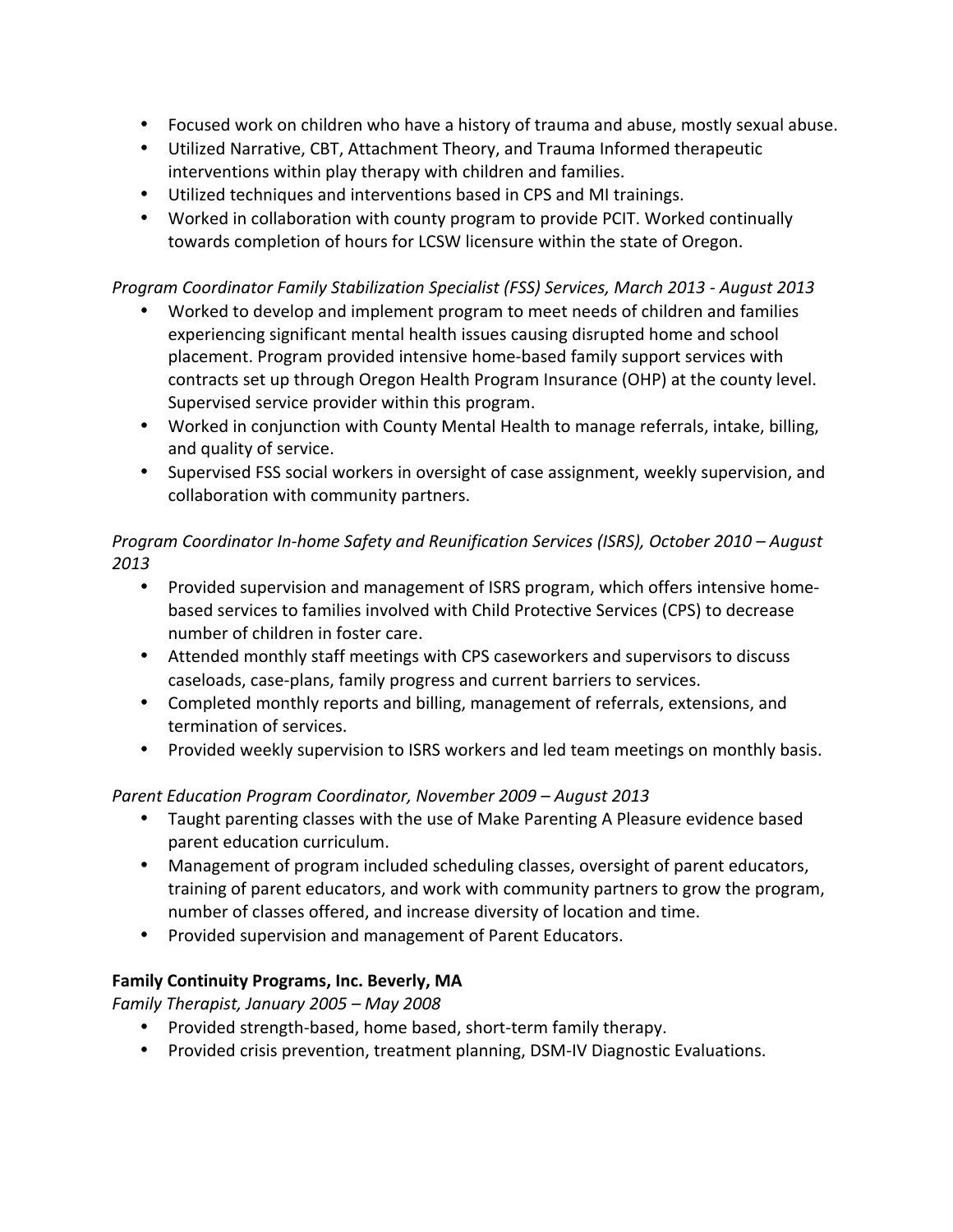- Focused work on children who have a history of trauma and abuse, mostly sexual abuse.
- Utilized Narrative, CBT, Attachment Theory, and Trauma Informed therapeutic interventions within play therapy with children and families.
- Utilized techniques and interventions based in CPS and MI trainings.
- Worked in collaboration with county program to provide PCIT. Worked continually towards completion of hours for LCSW licensure within the state of Oregon.

# *Program Coordinator Family Stabilization Specialist (FSS) Services, March 2013 - August 2013*

- Worked to develop and implement program to meet needs of children and families experiencing significant mental health issues causing disrupted home and school placement. Program provided intensive home-based family support services with contracts set up through Oregon Health Program Insurance (OHP) at the county level. Supervised service provider within this program.
- Worked in conjunction with County Mental Health to manage referrals, intake, billing, and quality of service.
- Supervised FSS social workers in oversight of case assignment, weekly supervision, and collaboration with community partners.

# *Program Coordinator In-home Safety and Reunification Services (ISRS), October 2010* – *August 2013*

- Provided supervision and management of ISRS program, which offers intensive homebased services to families involved with Child Protective Services (CPS) to decrease number of children in foster care.
- Attended monthly staff meetings with CPS caseworkers and supervisors to discuss caseloads, case-plans, family progress and current barriers to services.
- Completed monthly reports and billing, management of referrals, extensions, and termination of services.
- Provided weekly supervision to ISRS workers and led team meetings on monthly basis.

# *Parent Education Program Coordinator, November 2009* – *August 2013*

- Taught parenting classes with the use of Make Parenting A Pleasure evidence based parent education curriculum.
- Management of program included scheduling classes, oversight of parent educators, training of parent educators, and work with community partners to grow the program, number of classes offered, and increase diversity of location and time.
- Provided supervision and management of Parent Educators.

# Family Continuity Programs, Inc. Beverly, MA

*Family Therapist, January 2005 – May 2008*

- Provided strength-based, home based, short-term family therapy.
- Provided crisis prevention, treatment planning, DSM-IV Diagnostic Evaluations.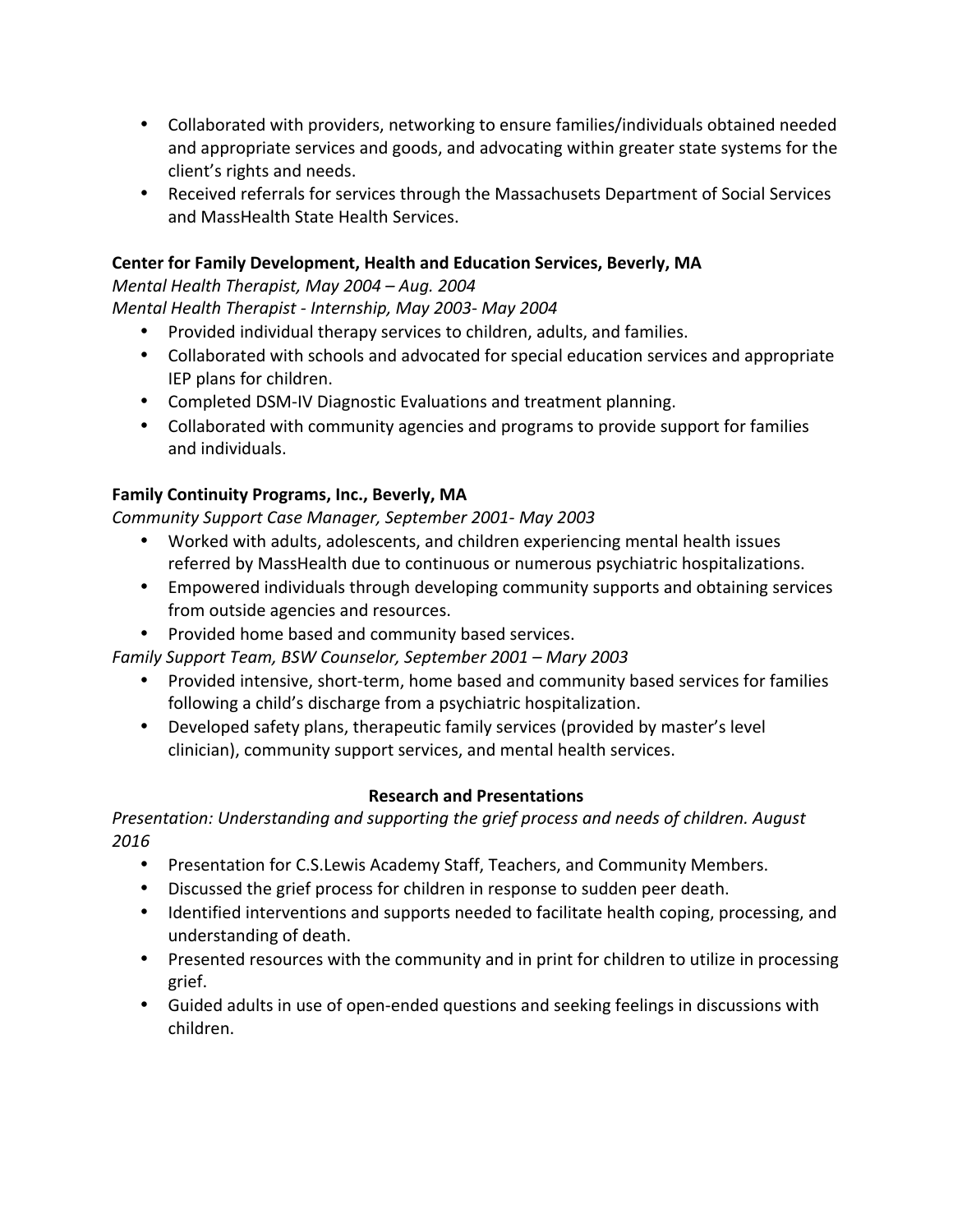- Collaborated with providers, networking to ensure families/individuals obtained needed and appropriate services and goods, and advocating within greater state systems for the client's rights and needs.
- Received referrals for services through the Massachusets Department of Social Services and MassHealth State Health Services.

# **Center for Family Development, Health and Education Services, Beverly, MA**

*Mental Health Therapist, May 2004 – Aug. 2004* 

*Mental Health Therapist - Internship, May 2003- May 2004*

- Provided individual therapy services to children, adults, and families.
- Collaborated with schools and advocated for special education services and appropriate IEP plans for children.
- Completed DSM-IV Diagnostic Evaluations and treatment planning.
- Collaborated with community agencies and programs to provide support for families and individuals.

# Family Continuity Programs, Inc., Beverly, MA

*Community Support Case Manager, September 2001- May 2003*

- Worked with adults, adolescents, and children experiencing mental health issues referred by MassHealth due to continuous or numerous psychiatric hospitalizations.
- Empowered individuals through developing community supports and obtaining services from outside agencies and resources.
- Provided home based and community based services.

*Family Support Team, BSW Counselor, September 2001 – Mary 2003*

- Provided intensive, short-term, home based and community based services for families following a child's discharge from a psychiatric hospitalization.
- Developed safety plans, therapeutic family services (provided by master's level clinician), community support services, and mental health services.

# **Research and Presentations**

*Presentation: Understanding and supporting the grief process and needs of children. August 2016*

- Presentation for C.S.Lewis Academy Staff, Teachers, and Community Members.
- Discussed the grief process for children in response to sudden peer death.
- Identified interventions and supports needed to facilitate health coping, processing, and understanding of death.
- Presented resources with the community and in print for children to utilize in processing grief.
- Guided adults in use of open-ended questions and seeking feelings in discussions with children.